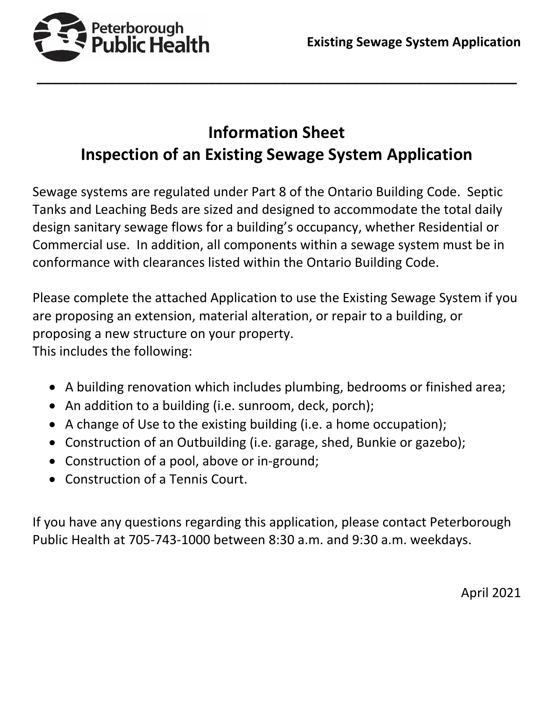

# **Information Sheet Inspection of an Existing Sewage System Application**

**\_\_\_\_\_\_\_\_\_\_\_\_\_\_\_\_\_\_\_\_\_\_\_\_\_\_\_\_\_\_\_\_\_\_\_\_\_\_\_\_\_\_\_\_\_\_\_\_\_\_\_\_\_\_\_\_\_\_\_\_\_\_\_\_\_\_\_**

Sewage systems are regulated under Part 8 of the Ontario Building Code. Septic Tanks and Leaching Beds are sized and designed to accommodate the total daily design sanitary sewage flows for a building's occupancy, whether Residential or Commercial use. In addition, all components within a sewage system must be in conformance with clearances listed within the Ontario Building Code.

Please complete the attached Application to use the Existing Sewage System if you are proposing an extension, material alteration, or repair to a building, or proposing a new structure on your property. This includes the following:

- A building renovation which includes plumbing, bedrooms or finished area;
- An addition to a building (i.e. sunroom, deck, porch);
- A change of Use to the existing building (i.e. a home occupation);
- Construction of an Outbuilding (i.e. garage, shed, Bunkie or gazebo);
- Construction of a pool, above or in-ground;
- Construction of a Tennis Court.

If you have any questions regarding this application, please contact Peterborough Public Health at 705-743-1000 between 8:30 a.m. and 9:30 a.m. weekdays.

April 2021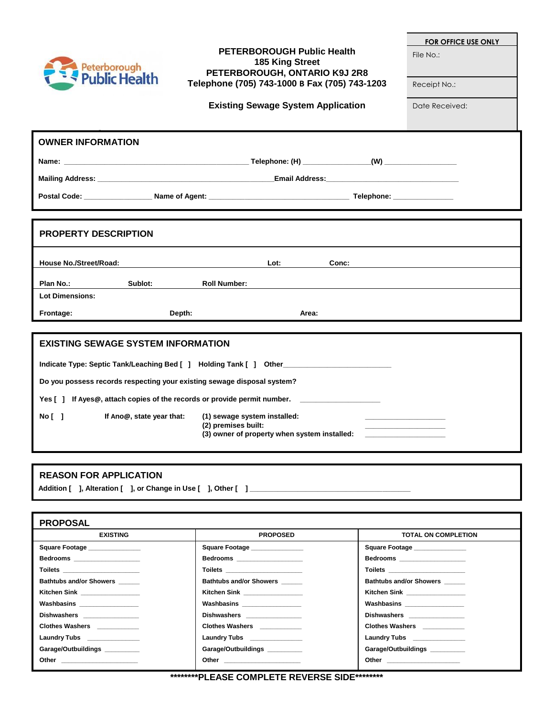|  | Peterborough<br>Public Health |  |
|--|-------------------------------|--|
|--|-------------------------------|--|

### **PETERBOROUGH Public Health 185 King Street PETERBOROUGH, ONTARIO K9J 2R8 Telephone (705) 743-1000 B Fax (705) 743-1203**

**Existing Sewage System Application**

**FOR OFFICE USE ONLY**

File No.:

Receipt No.:

Date Received:

| <b>OWNER INFORMATION</b>                                                |                                                     |                                              |       |  |  |
|-------------------------------------------------------------------------|-----------------------------------------------------|----------------------------------------------|-------|--|--|
|                                                                         |                                                     |                                              |       |  |  |
|                                                                         |                                                     |                                              |       |  |  |
|                                                                         |                                                     |                                              |       |  |  |
|                                                                         |                                                     |                                              |       |  |  |
| <b>PROPERTY DESCRIPTION</b>                                             |                                                     |                                              |       |  |  |
| House No./Street/Road:                                                  |                                                     | Lot:                                         | Conc: |  |  |
| Plan No.:<br>Sublot:                                                    | <b>Roll Number:</b>                                 |                                              |       |  |  |
| <b>Lot Dimensions:</b>                                                  |                                                     |                                              |       |  |  |
| Frontage:                                                               | Depth:                                              | Area:                                        |       |  |  |
|                                                                         |                                                     |                                              |       |  |  |
| <b>EXISTING SEWAGE SYSTEM INFORMATION</b>                               |                                                     |                                              |       |  |  |
| Indicate Type: Septic Tank/Leaching Bed [ ] Holding Tank [ ] Other      |                                                     |                                              |       |  |  |
| Do you possess records respecting your existing sewage disposal system? |                                                     |                                              |       |  |  |
| Yes [] If Ayes@, attach copies of the records or provide permit number. |                                                     |                                              |       |  |  |
| No <sub>1</sub><br>If Ano@, state year that:                            | (1) sewage system installed:<br>(2) premises built: | (3) owner of property when system installed: |       |  |  |

### **REASON FOR APPLICATION**

Addition [ ], Alteration [ ], or Change in Use [ ], Other [ ]\_

| <b>PROPOSAL</b>                |                                                                                                                                                                                                                                |                                |  |  |  |
|--------------------------------|--------------------------------------------------------------------------------------------------------------------------------------------------------------------------------------------------------------------------------|--------------------------------|--|--|--|
| <b>EXISTING</b>                | <b>PROPOSED</b>                                                                                                                                                                                                                | <b>TOTAL ON COMPLETION</b>     |  |  |  |
| Square Footage _______________ | Square Footage ______________                                                                                                                                                                                                  | Square Footage ______________  |  |  |  |
| Bedrooms ____________________  | Bedrooms ____________________                                                                                                                                                                                                  | Bedrooms ____________________  |  |  |  |
|                                | Toilets ________________________                                                                                                                                                                                               | Toilets ______________________ |  |  |  |
| <b>Bathtubs and/or Showers</b> | <b>Bathtubs and/or Showers</b>                                                                                                                                                                                                 | <b>Bathtubs and/or Showers</b> |  |  |  |
| Kitchen Sink ________________  | Kitchen Sink <b>Example 2018</b>                                                                                                                                                                                               | Kitchen Sink ________________  |  |  |  |
| Washbasins _________________   | Washbasins ________________                                                                                                                                                                                                    | Washbasins _________________   |  |  |  |
| Dishwashers _____________      | Dishwashers _______________                                                                                                                                                                                                    | Dishwashers _______________    |  |  |  |
| Clothes Washers ___________    | Clothes Washers ___________                                                                                                                                                                                                    | Clothes Washers __________     |  |  |  |
| Laundry Tubs ______________    | Laundry Tubs _______________                                                                                                                                                                                                   | Laundry Tubs <b>No. 1998</b>   |  |  |  |
| Garage/Outbuildings _________  | Garage/Outbuildings                                                                                                                                                                                                            | Garage/Outbuildings _________  |  |  |  |
| Other _______________________  | Other the contract of the contract of the contract of the contract of the contract of the contract of the contract of the contract of the contract of the contract of the contract of the contract of the contract of the cont |                                |  |  |  |
|                                |                                                                                                                                                                                                                                |                                |  |  |  |

**\*\*\*\*\*\*\*\*PLEASE COMPLETE REVERSE SIDE\*\*\*\*\*\*\*\***